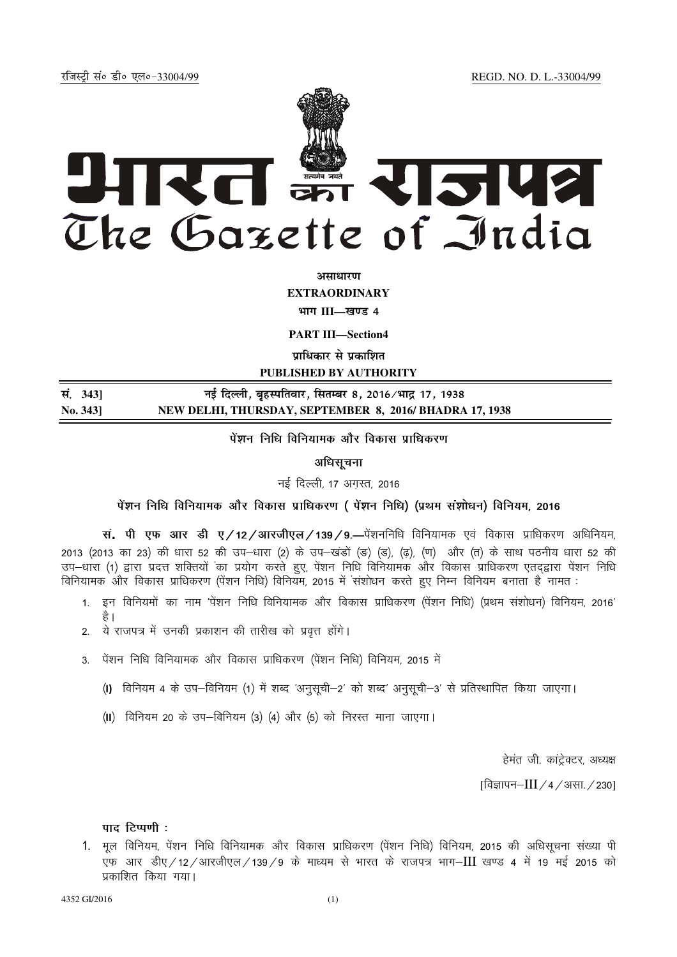jftLVªh laö Mhö ,yö&33004@99 REGD. NO. D. L.-33004/99



**vlk/kj.k**

**EXTRAORDINARY**

**Hkkx III—[k.M 4**

**PART III—Section4** 

**पाधिकार से प्रकाशित** 

**PUBLISHED BY AUTHORITY**

| सं. 3431 | नई दिल्ली, बृहस्पतिवार, सितम्बर 8, 2016/भाद्र 17, 1938 |
|----------|--------------------------------------------------------|
| No. 343] | NEW DELHI, THURSDAY, SEPTEMBER 8, 2016/BHADRA 17, 1938 |

<u>पे</u>शन निधि विनियामक और विकास प्राधिकरण

अधिसूचना

नई दिल्ली, 17 अगस्त, 2016

isa**'k**u fuf/k fofu;ked vkSj fodkl izkf/kdj.k ¼ isa**'k**u fuf/k½ ¼izFke la**'kks**/ku½ fofu;e] 2016

**स. पी एफ आर डी ए/12/आरजीएल/139/9—**पेंशननिधि विनियामक एवं विकास प्राधिकरण अधिनियम, 2013 (2013 का 23) की धारा 52 की उप-धारा (2) के उप-खंडों (ङ) (ड), (ढ़), (ण) और (त) के साथ पठनीय धारा 52 की miki (1) द्वारा प्रदत्त शक्तियों का प्रयोग करते हुए, पेंशन निधि विनियामक और विकास प्राधिकरण एतदद्वारा पेंशन निधि विनियामक और विकास प्राधिकरण (पेंशन निधि) विनियम, 2015 में संशोधन करते हुए निम्न विनियम बनाता है नामत :

- 1. इन विनियमों का नाम 'पेंशन निधि विनियामक और विकास प्राधिकरण (पेंशन निधि) (प्रथम संशोधन) विनियम, 2016' है ।
- 2. ये राजपत्र में उनकी प्रकाशन की तारीख को प्रवत्त होंगे।
- 3. पेंशन निधि विनियामक और विकास प्राधिकरण (पेंशन निधि) विनियम, 2015 में
	- (I) विनियम 4 के उप-विनियम (1) में शब्द 'अनुसूची-2' को शब्द' अनुसूची-3' से प्रतिस्थापित किया जाएगा।
	- (II) विनियम 20 के उप-विनियम (3) (4) और (5) को निरस्त माना जाएगा।

हेमंत जी. कांट्रेक्टर, अध्यक्ष

 $[$ विज्ञापन– $III / 4 / 3$ सा. / 230]

पाद टिप्पणी :

1. मल विनियम, पेंशन निधि विनियामक और विकास प्राधिकरण (पेंशन निधि) विनियम, 2015 की अधिसचना संख्या पी एफ आर डीए⁄12⁄आरजीएल⁄139⁄9 के माध्यम से भारत के राजपत्र भाग–III खण्ड 4 में 19 मई 2015 को प्रकाशित किया गया।

4352 GI/2016 (1)